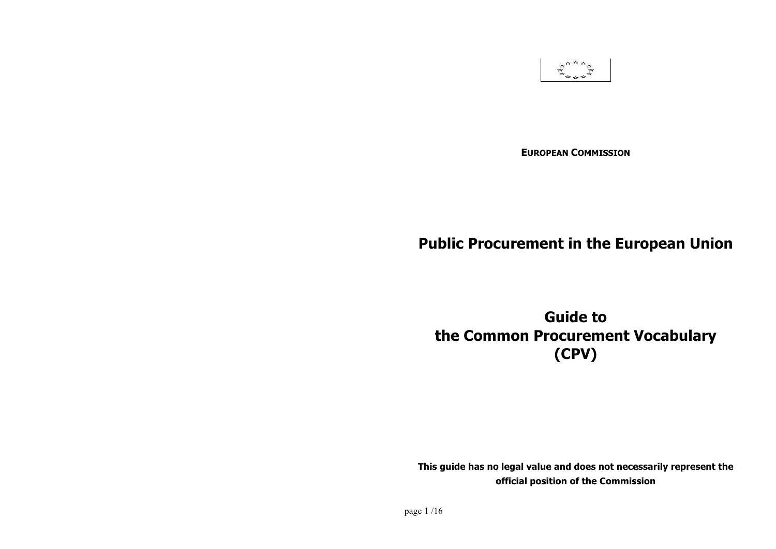

**EUROPEAN COMMISSION**

# **Public Procurement in the European Union**

**Guide to the Common Procurement Vocabulary (CPV)**

**This guide has no legal value and does not necessarily represent the official position of the Commission**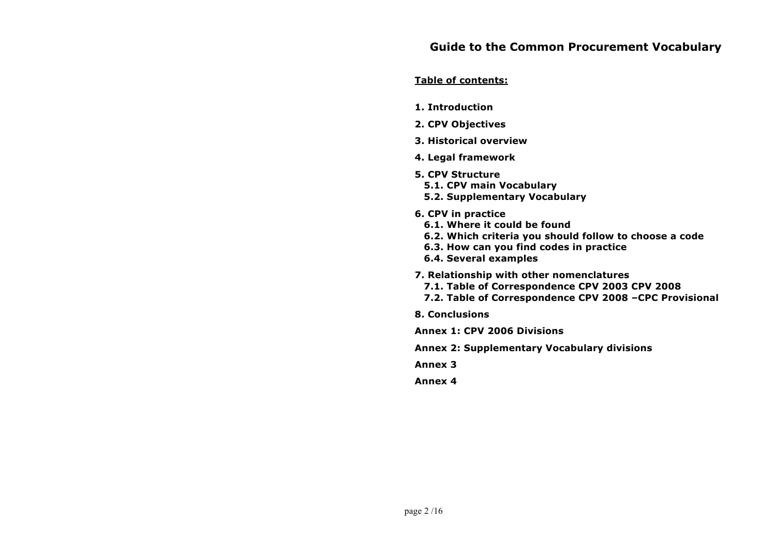#### **Table of contents:**

- **1. Introduction**
- **2. CPV Objectives**
- **3. Historical overview**
- **4. Legal framework**
- **5. CPV Structure**
	- **5.1. CPV main Vocabulary**
	- **5.2. Supplementary Vocabulary**
- **6. CPV in practice**
	- **6.1. Where it could be found**
	- **6.2. Which criteria you should follow to choose a code**
	- **6.3. How can you find codes in practice**
	- **6.4. Several examples**
- **7. Relationship with other nomenclatures**
	- **7.1. Table of Correspondence CPV 2003 CPV 2008**
	- **7.2. Table of Correspondence CPV 2008 –CPC Provisional**
- **8. Conclusions**
- **Annex 1: CPV 2006 Divisions**
- **Annex 2: Supplementary Vocabulary divisions**

**Annex 3**

**Annex 4**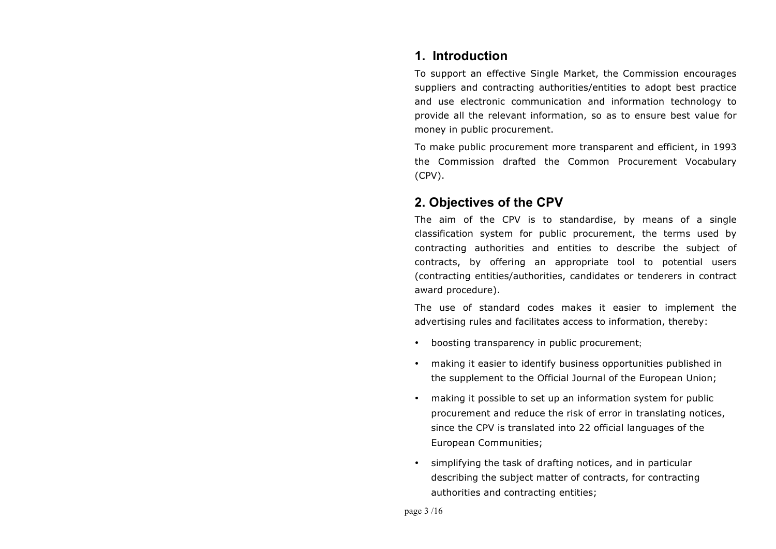## **1. Introduction**

To support an effective Single Market, the Commission encourages suppliers and contracting authorities/entities to adopt best practice and use electronic communication and information technology to provide all the relevant information, so as to ensure best value for money in public procurement.

To make public procurement more transparent and efficient, in 1993 the Commission drafted the Common Procurement Vocabulary (CPV).

## **2. Objectives of the CPV**

The aim of the CPV is to standardise, by means of a single classification system for public procurement, the terms used by contracting authorities and entities to describe the subject of contracts, by offering an appropriate tool to potential users (contracting entities/authorities, candidates or tenderers in contract award procedure).

The use of standard codes makes it easier to implement the advertising rules and facilitates access to information, thereby:

- boosting transparency in public procurement;
- making it easier to identify business opportunities published in the supplement to the Official Journal of the European Union;
- making it possible to set up an information system for public procurement and reduce the risk of error in translating notices, since the CPV is translated into 22 official languages of the European Communities;
- simplifying the task of drafting notices, and in particular describing the subject matter of contracts, for contracting authorities and contracting entities;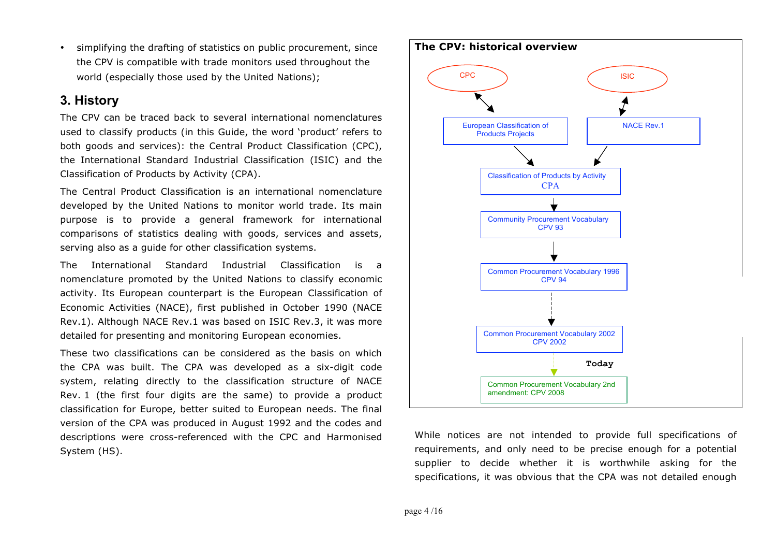• simplifying the drafting of statistics on public procurement, since the CPV is compatible with trade monitors used throughout the world (especially those used by the United Nations);

## **3. History**

The CPV can be traced back to several international nomenclatures used to classify products (in this Guide, the word 'product' refers to both goods and services): the Central Product Classification (CPC), the International Standard Industrial Classification (ISIC) and the Classification of Products by Activity (CPA).

The Central Product Classification is an international nomenclature developed by the United Nations to monitor world trade. Its main purpose is to provide a general framework for international comparisons of statistics dealing with goods, services and assets, serving also as a guide for other classification systems.

The International Standard Industrial Classification is a nomenclature promoted by the United Nations to classify economic activity. Its European counterpart is the European Classification of Economic Activities (NACE), first published in October 1990 (NACE Rev.1). Although NACE Rev.1 was based on ISIC Rev.3, it was more detailed for presenting and monitoring European economies.

These two classifications can be considered as the basis on which the CPA was built. The CPA was developed as a six-digit code system, relating directly to the classification structure of NACE Rev. 1 (the first four digits are the same) to provide a product classification for Europe, better suited to European needs. The final version of the CPA was produced in August 1992 and the codes and descriptions were cross-referenced with the CPC and Harmonised System (HS).



While notices are not intended to provide full specifications of requirements, and only need to be precise enough for a potential supplier to decide whether it is worthwhile asking for the specifications, it was obvious that the CPA was not detailed enough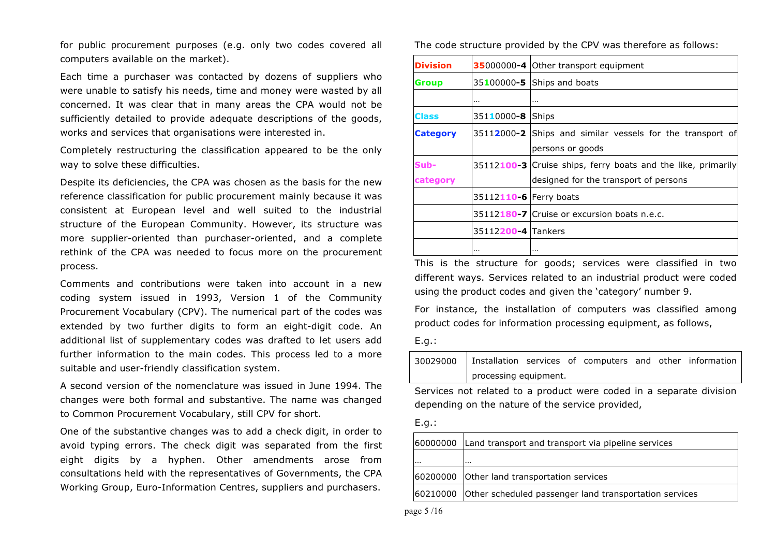for public procurement purposes (e.g. only two codes covered all computers available on the market).

Each time a purchaser was contacted by dozens of suppliers who were unable to satisfy his needs, time and money were wasted by all concerned. It was clear that in many areas the CPA would not be sufficiently detailed to provide adequate descriptions of the goods, works and services that organisations were interested in.

Completely restructuring the classification appeared to be the only way to solve these difficulties.

Despite its deficiencies, the CPA was chosen as the basis for the new reference classification for public procurement mainly because it was consistent at European level and well suited to the industrial structure of the European Community. However, its structure was more supplier-oriented than purchaser-oriented, and a complete rethink of the CPA was needed to focus more on the procurement process.

Comments and contributions were taken into account in a new coding system issued in 1993, Version 1 of the Community Procurement Vocabulary (CPV). The numerical part of the codes was extended by two further digits to form an eight-digit code. An additional list of supplementary codes was drafted to let users add further information to the main codes. This process led to a more suitable and user-friendly classification system.

A second version of the nomenclature was issued in June 1994. The changes were both formal and substantive. The name was changed to Common Procurement Vocabulary, still CPV for short.

One of the substantive changes was to add a check digit, in order to avoid typing errors. The check digit was separated from the first eight digits by a hyphen. Other amendments arose from consultations held with the representatives of Governments, the CPA Working Group, Euro-Information Centres, suppliers and purchasers.

The code structure provided by the CPV was therefore as follows:

| <b>Division</b> |                        | 35000000-4 Other transport equipment                         |  |  |  |
|-----------------|------------------------|--------------------------------------------------------------|--|--|--|
| Group           |                        | 35100000-5 Ships and boats                                   |  |  |  |
|                 | $\cdots$               |                                                              |  |  |  |
| <b>Class</b>    | 35110000-8 Ships       |                                                              |  |  |  |
| <b>Category</b> |                        | 35112000-2 Ships and similar vessels for the transport of    |  |  |  |
|                 |                        | persons or goods                                             |  |  |  |
| Sub-            |                        | 35112100 3 Cruise ships, ferry boats and the like, primarily |  |  |  |
| category        |                        | designed for the transport of persons                        |  |  |  |
|                 | 35112110-6 Ferry boats |                                                              |  |  |  |
|                 |                        | 35112180-7 Cruise or excursion boats n.e.c.                  |  |  |  |
|                 | 35112200-4 Tankers     |                                                              |  |  |  |
|                 | $\cdots$               |                                                              |  |  |  |

This is the structure for goods; services were classified in two different ways. Services related to an industrial product were coded using the product codes and given the 'category' number 9.

For instance, the installation of computers was classified among product codes for information processing equipment, as follows,

#### E.g.:

| 30029000   Installation services of computers and other information |  |  |  |
|---------------------------------------------------------------------|--|--|--|
| processing equipment.                                               |  |  |  |

Services not related to a product were coded in a separate division depending on the nature of the service provided,

#### E.g.:

|          | 60000000 Land transport and transport via pipeline services     |
|----------|-----------------------------------------------------------------|
| $\cdots$ | .                                                               |
|          | 60200000 Other land transportation services                     |
|          | 60210000 Other scheduled passenger land transportation services |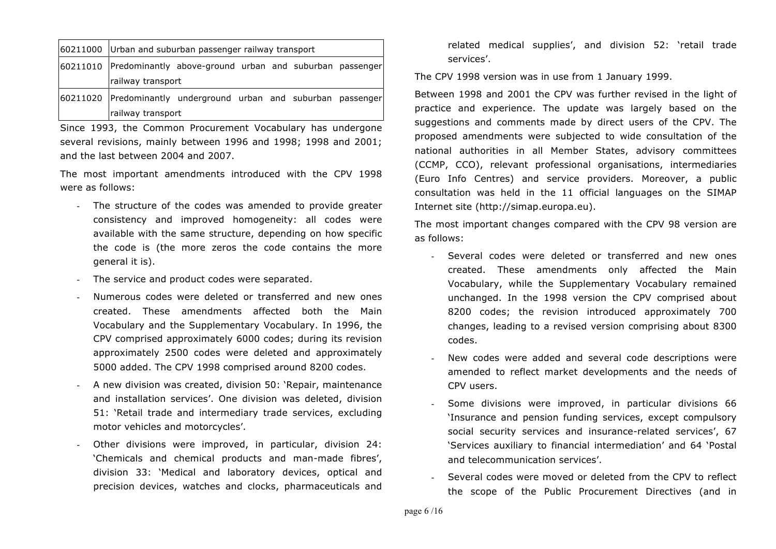| 60211000 Urban and suburban passenger railway transport          |  |  |  |  |
|------------------------------------------------------------------|--|--|--|--|
| 60211010 Predominantly above-ground urban and suburban passenger |  |  |  |  |
| railway transport                                                |  |  |  |  |
| 60211020 Predominantly underground urban and suburban passenger  |  |  |  |  |
| railway transport                                                |  |  |  |  |

Since 1993, the Common Procurement Vocabulary has undergone several revisions, mainly between 1996 and 1998; 1998 and 2001; and the last between 2004 and 2007.

The most important amendments introduced with the CPV 1998 were as follows:

- The structure of the codes was amended to provide greater consistency and improved homogeneity: all codes were available with the same structure, depending on how specific the code is (the more zeros the code contains the more general it is).
- The service and product codes were separated.
- Numerous codes were deleted or transferred and new ones created. These amendments affected both the Main Vocabulary and the Supplementary Vocabulary. In 1996, the CPV comprised approximately 6000 codes; during its revision approximately 2500 codes were deleted and approximately 5000 added. The CPV 1998 comprised around 8200 codes.
- A new division was created, division 50: 'Repair, maintenance and installation services'. One division was deleted, division 51: 'Retail trade and intermediary trade services, excluding motor vehicles and motorcycles'.
- Other divisions were improved, in particular, division 24: 'Chemicals and chemical products and man-made fibres', division 33: 'Medical and laboratory devices, optical and precision devices, watches and clocks, pharmaceuticals and

related medical supplies', and division 52: 'retail trade services'.

The CPV 1998 version was in use from 1 January 1999.

Between 1998 and 2001 the CPV was further revised in the light of practice and experience. The update was largely based on the suggestions and comments made by direct users of the CPV. The proposed amendments were subjected to wide consultation of the national authorities in all Member States, advisory committees (CCMP, CCO), relevant professional organisations, intermediaries (Euro Info Centres) and service providers. Moreover, a public consultation was held in the 11 official languages on the SIMAP Internet site (http://simap.europa.eu).

The most important changes compared with the CPV 98 version are as follows:

- Several codes were deleted or transferred and new ones created. These amendments only affected the Main Vocabulary, while the Supplementary Vocabulary remained unchanged. In the 1998 version the CPV comprised about 8200 codes; the revision introduced approximately 700 changes, leading to a revised version comprising about 8300 codes.
- New codes were added and several code descriptions were amended to reflect market developments and the needs of CPV users.
- Some divisions were improved, in particular divisions 66 'Insurance and pension funding services, except compulsory social security services and insurance-related services', 67 'Services auxiliary to financial intermediation' and 64 'Postal and telecommunication services'.
- Several codes were moved or deleted from the CPV to reflect the scope of the Public Procurement Directives (and in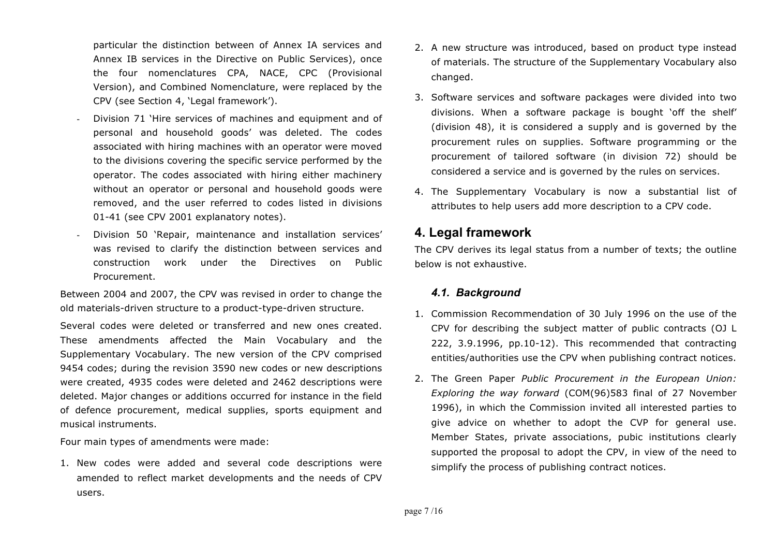particular the distinction between of Annex IA services and Annex IB services in the Directive on Public Services), once the four nomenclatures CPA, NACE, CPC (Provisional Version), and Combined Nomenclature, were replaced by the CPV (see Section 4, 'Legal framework').

- Division 71 'Hire services of machines and equipment and of personal and household goods' was deleted. The codes associated with hiring machines with an operator were moved to the divisions covering the specific service performed by the operator. The codes associated with hiring either machinery without an operator or personal and household goods were removed, and the user referred to codes listed in divisions 01-41 (see CPV 2001 explanatory notes).
- Division 50 'Repair, maintenance and installation services' was revised to clarify the distinction between services and construction work under the Directives on Public Procurement.

Between 2004 and 2007, the CPV was revised in order to change the old materials-driven structure to a product-type-driven structure.

Several codes were deleted or transferred and new ones created. These amendments affected the Main Vocabulary and the Supplementary Vocabulary. The new version of the CPV comprised 9454 codes; during the revision 3590 new codes or new descriptions were created, 4935 codes were deleted and 2462 descriptions were deleted. Major changes or additions occurred for instance in the field of defence procurement, medical supplies, sports equipment and musical instruments.

Four main types of amendments were made:

1. New codes were added and several code descriptions were amended to reflect market developments and the needs of CPV users.

- 2. A new structure was introduced, based on product type instead of materials. The structure of the Supplementary Vocabulary also changed.
- 3. Software services and software packages were divided into two divisions. When a software package is bought 'off the shelf' (division 48), it is considered a supply and is governed by the procurement rules on supplies. Software programming or the procurement of tailored software (in division 72) should be considered a service and is governed by the rules on services.
- 4. The Supplementary Vocabulary is now a substantial list of attributes to help users add more description to a CPV code.

## **4. Legal framework**

The CPV derives its legal status from a number of texts; the outline below is not exhaustive.

### *4.1. Background*

- 1. Commission Recommendation of 30 July 1996 on the use of the CPV for describing the subject matter of public contracts (OJ L 222, 3.9.1996, pp.10-12). This recommended that contracting entities/authorities use the CPV when publishing contract notices.
- 2. The Green Paper *Public Procurement in the European Union: Exploring the way forward* (COM(96)583 final of 27 November 1996), in which the Commission invited all interested parties to give advice on whether to adopt the CVP for general use. Member States, private associations, pubic institutions clearly supported the proposal to adopt the CPV, in view of the need to simplify the process of publishing contract notices.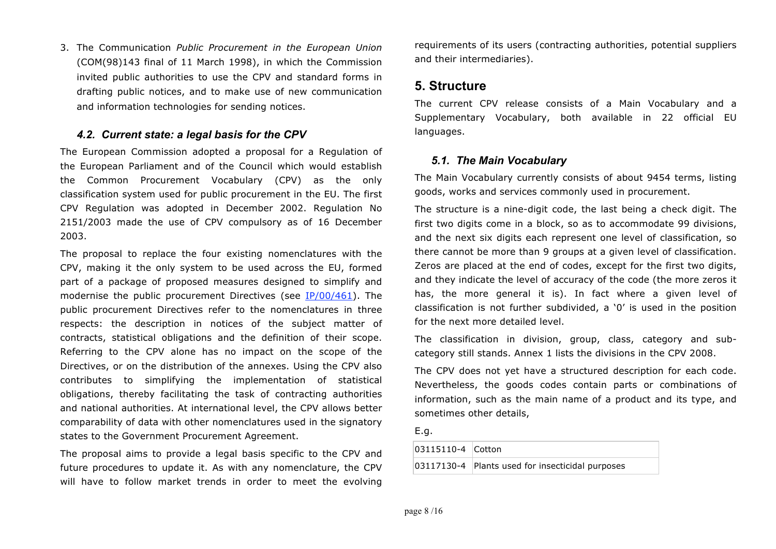3. The Communication *Public Procurement in the European Union* (COM(98)143 final of 11 March 1998), in which the Commission invited public authorities to use the CPV and standard forms in drafting public notices, and to make use of new communication and information technologies for sending notices.

#### *4.2. Current state: a legal basis for the CPV*

The European Commission adopted a proposal for a Regulation of the European Parliament and of the Council which would establish the Common Procurement Vocabulary (CPV) as the only classification system used for public procurement in the EU. The first CPV Regulation was adopted in December 2002. Regulation No 2151/2003 made the use of CPV compulsory as of 16 December 2003.

The proposal to replace the four existing nomenclatures with the CPV, making it the only system to be used across the EU, formed part of a package of proposed measures designed to simplify and modernise the public procurement Directives (see IP/00/461). The public procurement Directives refer to the nomenclatures in three respects: the description in notices of the subject matter of contracts, statistical obligations and the definition of their scope. Referring to the CPV alone has no impact on the scope of the Directives, or on the distribution of the annexes. Using the CPV also contributes to simplifying the implementation of statistical obligations, thereby facilitating the task of contracting authorities and national authorities. At international level, the CPV allows better comparability of data with other nomenclatures used in the signatory states to the Government Procurement Agreement.

The proposal aims to provide a legal basis specific to the CPV and future procedures to update it. As with any nomenclature, the CPV will have to follow market trends in order to meet the evolving

requirements of its users (contracting authorities, potential suppliers and their intermediaries).

## **5. Structure**

The current CPV release consists of a Main Vocabulary and a Supplementary Vocabulary, both available in 22 official EU languages.

### *5.1. The Main Vocabulary*

The Main Vocabulary currently consists of about 9454 terms, listing goods, works and services commonly used in procurement.

The structure is a nine-digit code, the last being a check digit. The first two digits come in a block, so as to accommodate 99 divisions, and the next six digits each represent one level of classification, so there cannot be more than 9 groups at a given level of classification. Zeros are placed at the end of codes, except for the first two digits, and they indicate the level of accuracy of the code (the more zeros it has, the more general it is). In fact where a given level of classification is not further subdivided, a '0' is used in the position for the next more detailed level.

The classification in division, group, class, category and subcategory still stands. Annex 1 lists the divisions in the CPV 2008.

The CPV does not yet have a structured description for each code. Nevertheless, the goods codes contain parts or combinations of information, such as the main name of a product and its type, and sometimes other details,

E.g.

| 03115110-4 Cotton |                                                  |
|-------------------|--------------------------------------------------|
|                   | 03117130-4 Plants used for insecticidal purposes |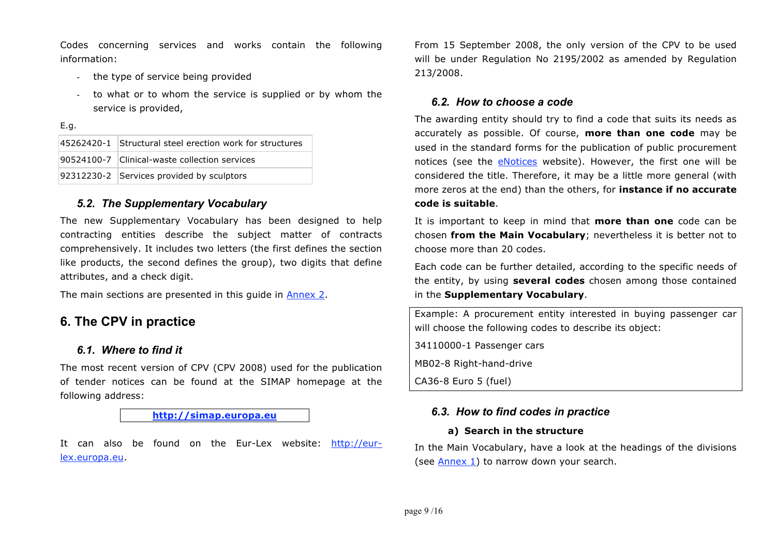Codes concerning services and works contain the following information:

- the type of service being provided
- to what or to whom the service is supplied or by whom the service is provided,

E.g.

| 45262420-1 Structural steel erection work for structures |
|----------------------------------------------------------|
| 90524100-7 Clinical-waste collection services            |
| 92312230-2 Services provided by sculptors                |

### *5.2. The Supplementary Vocabulary*

The new Supplementary Vocabulary has been designed to help contracting entities describe the subject matter of contracts comprehensively. It includes two letters (the first defines the section like products, the second defines the group), two digits that define attributes, and a check digit.

The main sections are presented in this guide in Annex 2.

## **6. The CPV in practice**

### *6.1. Where to find it*

The most recent version of CPV (CPV 2008) used for the publication of tender notices can be found at the SIMAP homepage at the following address:

**http://simap.europa.eu**

It can also be found on the Eur-Lex website: http://eurlex.europa.eu.

From 15 September 2008, the only version of the CPV to be used will be under Regulation No 2195/2002 as amended by Regulation 213/2008.

### *6.2. How to choose a code*

The awarding entity should try to find a code that suits its needs as accurately as possible. Of course, **more than one code** may be used in the standard forms for the publication of public procurement notices (see the eNotices website). However, the first one will be considered the title. Therefore, it may be a little more general (with more zeros at the end) than the others, for **instance if no accurate code is suitable**.

It is important to keep in mind that **more than one** code can be chosen **from the Main Vocabulary**; nevertheless it is better not to choose more than 20 codes.

Each code can be further detailed, according to the specific needs of the entity, by using **several codes** chosen among those contained in the **Supplementary Vocabulary**.

Example: A procurement entity interested in buying passenger car will choose the following codes to describe its object:

34110000-1 Passenger cars

MB02-8 Right-hand-drive

CA36-8 Euro 5 (fuel)

### *6.3. How to find codes in practice*

#### **a) Search in the structure**

In the Main Vocabulary, have a look at the headings of the divisions (see Annex 1) to narrow down your search.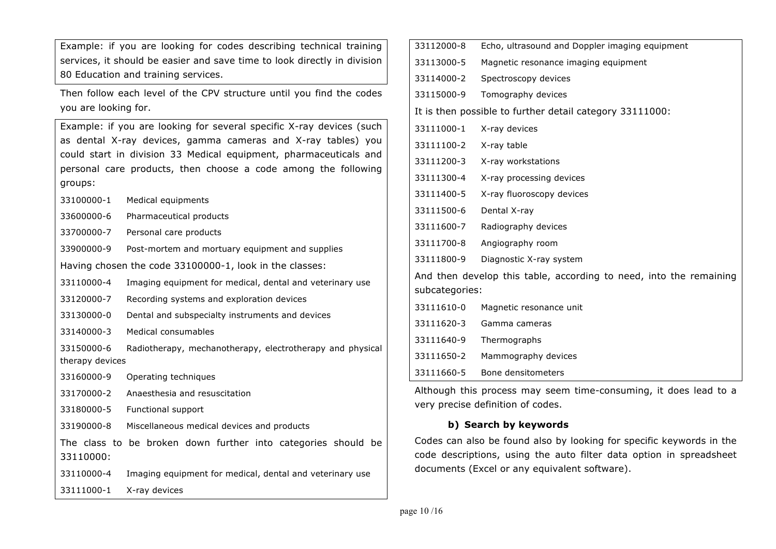Example: if you are looking for codes describing technical training services, it should be easier and save time to look directly in division 80 Education and training services.

Then follow each level of the CPV structure until you find the codes you are looking for.

Example: if you are looking for several specific X-ray devices (such as dental X-ray devices, gamma cameras and X-ray tables) you could start in division 33 Medical equipment, pharmaceuticals and personal care products, then choose a code among the following groups:

33100000-1 Medical equipments

33600000-6 Pharmaceutical products

- 33700000-7 Personal care products
- 33900000-9 Post-mortem and mortuary equipment and supplies

Having chosen the code 33100000-1, look in the classes:

33110000-4 Imaging equipment for medical, dental and veterinary use

33120000-7 Recording systems and exploration devices

33130000-0 Dental and subspecialty instruments and devices

33140000-3 Medical consumables

33150000-6 Radiotherapy, mechanotherapy, electrotherapy and physical therapy devices

33160000-9 Operating techniques

33170000-2 Anaesthesia and resuscitation

33180000-5 Functional support

33190000-8 Miscellaneous medical devices and products

The class to be broken down further into categories should be 33110000:

33110000-4 Imaging equipment for medical, dental and veterinary use 33111000-1 X-ray devices

| 33112000-8     | Echo, ultrasound and Doppler imaging equipment                     |
|----------------|--------------------------------------------------------------------|
| 33113000-5     | Magnetic resonance imaging equipment                               |
| 33114000-2     | Spectroscopy devices                                               |
| 33115000-9     | Tomography devices                                                 |
|                | It is then possible to further detail category 33111000:           |
| 33111000-1     | X-ray devices                                                      |
| 33111100-2     | X-ray table                                                        |
| 33111200-3     | X-ray workstations                                                 |
| 33111300-4     | X-ray processing devices                                           |
| 33111400-5     | X-ray fluoroscopy devices                                          |
| 33111500-6     | Dental X-ray                                                       |
| 33111600-7     | Radiography devices                                                |
| 33111700-8     | Angiography room                                                   |
| 33111800-9     | Diagnostic X-ray system                                            |
|                | And then develop this table, according to need, into the remaining |
| subcategories: |                                                                    |
| 33111610-0     | Magnetic resonance unit                                            |
| 33111620-3     | Gamma cameras                                                      |
| 33111640-9     | Thermographs                                                       |
| 33111650-2     | Mammography devices                                                |
| 33111660-5     | Bone densitometers                                                 |

Although this process may seem time-consuming, it does lead to a very precise definition of codes.

### **b) Search by keywords**

Codes can also be found also by looking for specific keywords in the code descriptions, using the auto filter data option in spreadsheet documents (Excel or any equivalent software).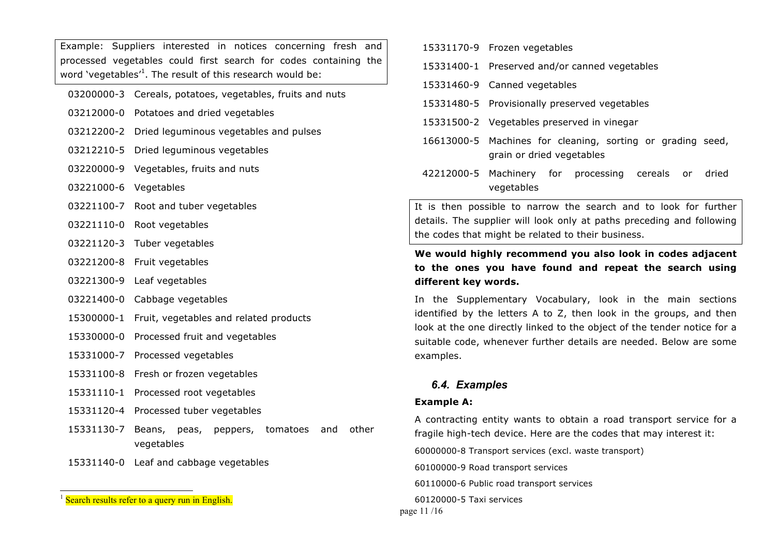Example: Suppliers interested in notices concerning fresh and processed vegetables could first search for codes containing the word 'vegetables'<sup>1</sup>. The result of this research would be:

- 03200000-3 Cereals, potatoes, vegetables, fruits and nuts
- 03212000-0 Potatoes and dried vegetables
- 03212200-2 Dried leguminous vegetables and pulses
- 03212210-5 Dried leguminous vegetables
- 03220000-9 Vegetables, fruits and nuts
- 03221000-6 Vegetables
- 03221100-7 Root and tuber vegetables
- 03221110-0 Root vegetables
- 03221120-3 Tuber vegetables
- 03221200-8 Fruit vegetables
- 03221300-9 Leaf vegetables
- 03221400-0 Cabbage vegetables
- 15300000-1 Fruit, vegetables and related products
- 15330000-0 Processed fruit and vegetables
- 15331000-7 Processed vegetables
- 15331100-8 Fresh or frozen vegetables
- 15331110-1 Processed root vegetables
- 15331120-4 Processed tuber vegetables
- 15331130-7 Beans, peas, peppers, tomatoes and other vegetables
- 15331140-0 Leaf and cabbage vegetables
- 15331170-9 Frozen vegetables
- 15331400-1 Preserved and/or canned vegetables
- 15331460-9 Canned vegetables
- 15331480-5 Provisionally preserved vegetables
- 15331500-2 Vegetables preserved in vinegar
- 16613000-5 Machines for cleaning, sorting or grading seed, grain or dried vegetables
- 42212000-5 Machinery for processing cereals or dried vegetables

It is then possible to narrow the search and to look for further details. The supplier will look only at paths preceding and following the codes that might be related to their business.

### **We would highly recommend you also look in codes adjacent to the ones you have found and repeat the search using different key words.**

In the Supplementary Vocabulary, look in the main sections identified by the letters A to Z, then look in the groups, and then look at the one directly linked to the object of the tender notice for a suitable code, whenever further details are needed. Below are some examples.

#### *6.4. Examples*

#### **Example A:**

A contracting entity wants to obtain a road transport service for a fragile high-tech device. Here are the codes that may interest it:

60000000-8 Transport services (excl. waste transport)

60100000-9 Road transport services

60110000-6 Public road transport services

60120000-5 Taxi services

page 11 /16

 $1$  Search results refer to a query run in English.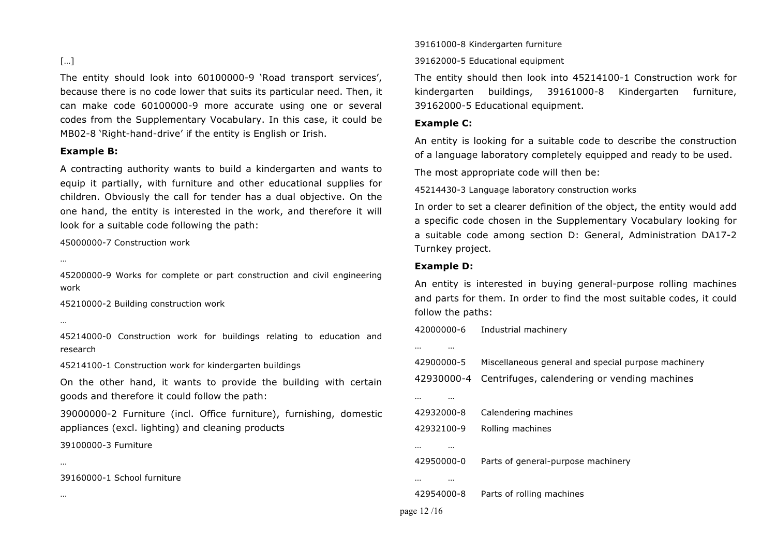### […]

The entity should look into 60100000-9 'Road transport services', because there is no code lower that suits its particular need. Then, it can make code 60100000-9 more accurate using one or several codes from the Supplementary Vocabulary. In this case, it could be MB02-8 'Right-hand-drive' if the entity is English or Irish.

#### **Example B:**

A contracting authority wants to build a kindergarten and wants to equip it partially, with furniture and other educational supplies for children. Obviously the call for tender has a dual objective. On the one hand, the entity is interested in the work, and therefore it will look for a suitable code following the path:

45000000-7 Construction work

…

45200000-9 Works for complete or part construction and civil engineering work

45210000-2 Building construction work

…

…

…

45214000-0 Construction work for buildings relating to education and research

45214100-1 Construction work for kindergarten buildings

On the other hand, it wants to provide the building with certain goods and therefore it could follow the path:

39000000-2 Furniture (incl. Office furniture), furnishing, domestic appliances (excl. lighting) and cleaning products

39100000-3 Furniture

39160000-1 School furniture

39161000-8 Kindergarten furniture

39162000-5 Educational equipment

The entity should then look into 45214100-1 Construction work for kindergarten buildings, 39161000-8 Kindergarten furniture, 39162000-5 Educational equipment.

#### **Example C:**

An entity is looking for a suitable code to describe the construction of a language laboratory completely equipped and ready to be used.

The most appropriate code will then be:

45214430-3 Language laboratory construction works

In order to set a clearer definition of the object, the entity would add a specific code chosen in the Supplementary Vocabulary looking for a suitable code among section D: General, Administration DA17-2 Turnkey project.

#### **Example D:**

An entity is interested in buying general-purpose rolling machines and parts for them. In order to find the most suitable codes, it could follow the paths:

42000000-6 Industrial machinery

| <br>         |                                                     |
|--------------|-----------------------------------------------------|
| 42900000-5   | Miscellaneous general and special purpose machinery |
| 42930000-4   | Centrifuges, calendering or vending machines        |
| .<br>.       |                                                     |
| 42932000-8   | Calendering machines                                |
| 42932100-9   | Rolling machines                                    |
| <br>         |                                                     |
| 42950000-0   | Parts of general-purpose machinery                  |
| .<br>        |                                                     |
| 42954000-8   | Parts of rolling machines                           |
| page $12/16$ |                                                     |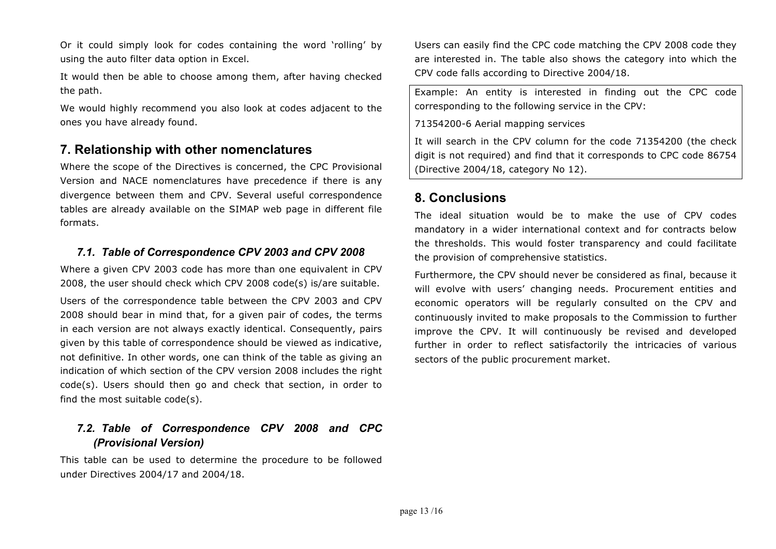Or it could simply look for codes containing the word 'rolling' by using the auto filter data option in Excel.

It would then be able to choose among them, after having checked the path.

We would highly recommend you also look at codes adjacent to the ones you have already found.

## **7. Relationship with other nomenclatures**

Where the scope of the Directives is concerned, the CPC Provisional Version and NACE nomenclatures have precedence if there is any divergence between them and CPV. Several useful correspondence tables are already available on the SIMAP web page in different file formats.

### *7.1. Table of Correspondence CPV 2003 and CPV 2008*

Where a given CPV 2003 code has more than one equivalent in CPV 2008, the user should check which CPV 2008 code(s) is/are suitable.

Users of the correspondence table between the CPV 2003 and CPV 2008 should bear in mind that, for a given pair of codes, the terms in each version are not always exactly identical. Consequently, pairs given by this table of correspondence should be viewed as indicative, not definitive. In other words, one can think of the table as giving an indication of which section of the CPV version 2008 includes the right code(s). Users should then go and check that section, in order to find the most suitable code(s).

## *7.2. Table of Correspondence CPV 2008 and CPC (Provisional Version)*

This table can be used to determine the procedure to be followed under Directives 2004/17 and 2004/18.

Users can easily find the CPC code matching the CPV 2008 code they are interested in. The table also shows the category into which the CPV code falls according to Directive 2004/18.

Example: An entity is interested in finding out the CPC code corresponding to the following service in the CPV:

71354200-6 Aerial mapping services

It will search in the CPV column for the code 71354200 (the check digit is not required) and find that it corresponds to CPC code 86754 (Directive 2004/18, category No 12).

## **8. Conclusions**

The ideal situation would be to make the use of CPV codes mandatory in a wider international context and for contracts below the thresholds. This would foster transparency and could facilitate the provision of comprehensive statistics.

Furthermore, the CPV should never be considered as final, because it will evolve with users' changing needs. Procurement entities and economic operators will be regularly consulted on the CPV and continuously invited to make proposals to the Commission to further improve the CPV. It will continuously be revised and developed further in order to reflect satisfactorily the intricacies of various sectors of the public procurement market.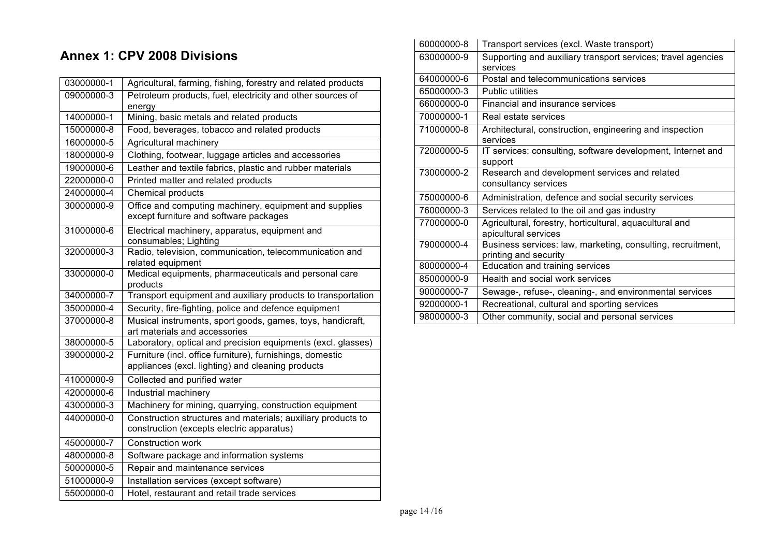# **Annex 1: CPV 2008 Divisions**

| 03000000-1 | Agricultural, farming, fishing, forestry and related products                                                  |
|------------|----------------------------------------------------------------------------------------------------------------|
| 09000000-3 | Petroleum products, fuel, electricity and other sources of<br>energy                                           |
| 14000000-1 | Mining, basic metals and related products                                                                      |
| 15000000-8 | Food, beverages, tobacco and related products                                                                  |
| 16000000-5 | Agricultural machinery                                                                                         |
| 18000000-9 | Clothing, footwear, luggage articles and accessories                                                           |
| 19000000-6 | Leather and textile fabrics, plastic and rubber materials                                                      |
| 22000000-0 | Printed matter and related products                                                                            |
| 24000000-4 | <b>Chemical products</b>                                                                                       |
| 30000000-9 | Office and computing machinery, equipment and supplies<br>except furniture and software packages               |
| 31000000-6 | Electrical machinery, apparatus, equipment and<br>consumables; Lighting                                        |
| 32000000-3 | Radio, television, communication, telecommunication and<br>related equipment                                   |
| 33000000-0 | Medical equipments, pharmaceuticals and personal care<br>products                                              |
| 34000000-7 | Transport equipment and auxiliary products to transportation                                                   |
| 35000000-4 | Security, fire-fighting, police and defence equipment                                                          |
| 37000000-8 | Musical instruments, sport goods, games, toys, handicraft,<br>art materials and accessories                    |
| 38000000-5 | Laboratory, optical and precision equipments (excl. glasses)                                                   |
| 39000000-2 | Furniture (incl. office furniture), furnishings, domestic<br>appliances (excl. lighting) and cleaning products |
| 41000000-9 | Collected and purified water                                                                                   |
| 42000000-6 | Industrial machinery                                                                                           |
| 43000000-3 | Machinery for mining, quarrying, construction equipment                                                        |
| 44000000-0 | Construction structures and materials; auxiliary products to<br>construction (excepts electric apparatus)      |
| 45000000-7 | Construction work                                                                                              |
| 48000000-8 | Software package and information systems                                                                       |
| 50000000-5 | Repair and maintenance services                                                                                |
| 51000000-9 | Installation services (except software)                                                                        |
| 55000000-0 | Hotel, restaurant and retail trade services                                                                    |

| 60000000-8 | Transport services (excl. Waste transport)                   |
|------------|--------------------------------------------------------------|
| 63000000-9 | Supporting and auxiliary transport services; travel agencies |
|            | services                                                     |
| 64000000-6 | Postal and telecommunications services                       |
| 65000000-3 | <b>Public utilities</b>                                      |
| 66000000-0 | Financial and insurance services                             |
| 70000000-1 | Real estate services                                         |
| 71000000-8 | Architectural, construction, engineering and inspection      |
|            | services                                                     |
| 72000000-5 | IT services: consulting, software development, Internet and  |
|            | support                                                      |
| 73000000-2 | Research and development services and related                |
|            | consultancy services                                         |
| 75000000-6 | Administration, defence and social security services         |
| 76000000-3 | Services related to the oil and gas industry                 |
| 77000000-0 | Agricultural, forestry, horticultural, aquacultural and      |
|            | apicultural services                                         |
| 79000000-4 | Business services: law, marketing, consulting, recruitment,  |
|            | printing and security                                        |
| 80000000-4 | Education and training services                              |
| 85000000-9 | Health and social work services                              |
| 90000000-7 | Sewage-, refuse-, cleaning-, and environmental services      |
| 92000000-1 | Recreational, cultural and sporting services                 |
| 98000000-3 | Other community, social and personal services                |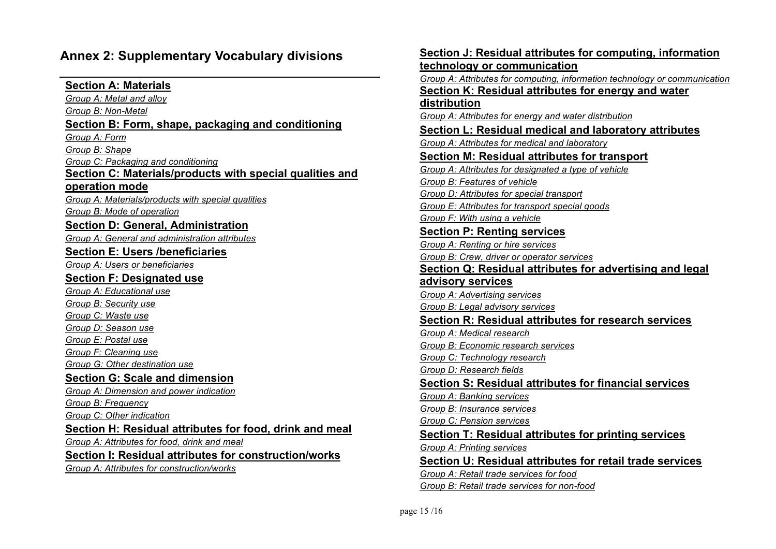## **Annex 2: Supplementary Vocabulary divisions**

### **Section A: Materials**

*Group A: Metal and alloy Group B: Non-Metal* **Section B: Form, shape, packaging and conditioning**  *Group A: Form Group B: Shape Group C: Packaging and conditioning* **Section C: Materials/products with special qualities and operation mode** *Group A: Materials/products with special qualities Group B: Mode of operation* **Section D: General, Administration** *Group A: General and administration attributes* **Section E: Users /beneficiaries** *Group A: Users or beneficiaries* **Section F: Designated use** *Group A: Educational use Group B: Security use Group C: Waste use Group D: Season use Group E: Postal use Group F: Cleaning use Group G: Other destination use* **Section G: Scale and dimension** *Group A: Dimension and power indication Group B: Frequency Group C: Other indication*  **Section H: Residual attributes for food, drink and meal** *Group A: Attributes for food, drink and meal* **Section I: Residual attributes for construction/works** *Group A: Attributes for construction/works*

**Section J: Residual attributes for computing, information technology or communication** *Group A: Attributes for computing, information technology or communication* **Section K: Residual attributes for energy and water distribution** *Group A: Attributes for energy and water distribution* **Section L: Residual medical and laboratory attributes**  *Group A: Attributes for medical and laboratory* **Section M: Residual attributes for transport** *Group A: Attributes for designated a type of vehicle Group B: Features of vehicle Group D: Attributes for special transport Group E: Attributes for transport special goods Group F: With using a vehicle* **Section P: Renting services** *Group A: Renting or hire services Group B: Crew, driver or operator services* **Section Q: Residual attributes for advertising and legal advisory services** *Group A: Advertising services Group B: Legal advisory services* **Section R: Residual attributes for research services** *Group A: Medical research Group B: Economic research services Group C: Technology research Group D: Research fields* **Section S: Residual attributes for financial services** *Group A: Banking services Group B: Insurance services Group C: Pension services* **Section T: Residual attributes for printing services** *Group A: Printing services* **Section U: Residual attributes for retail trade services** *Group A: Retail trade services for food Group B: Retail trade services for non-food*